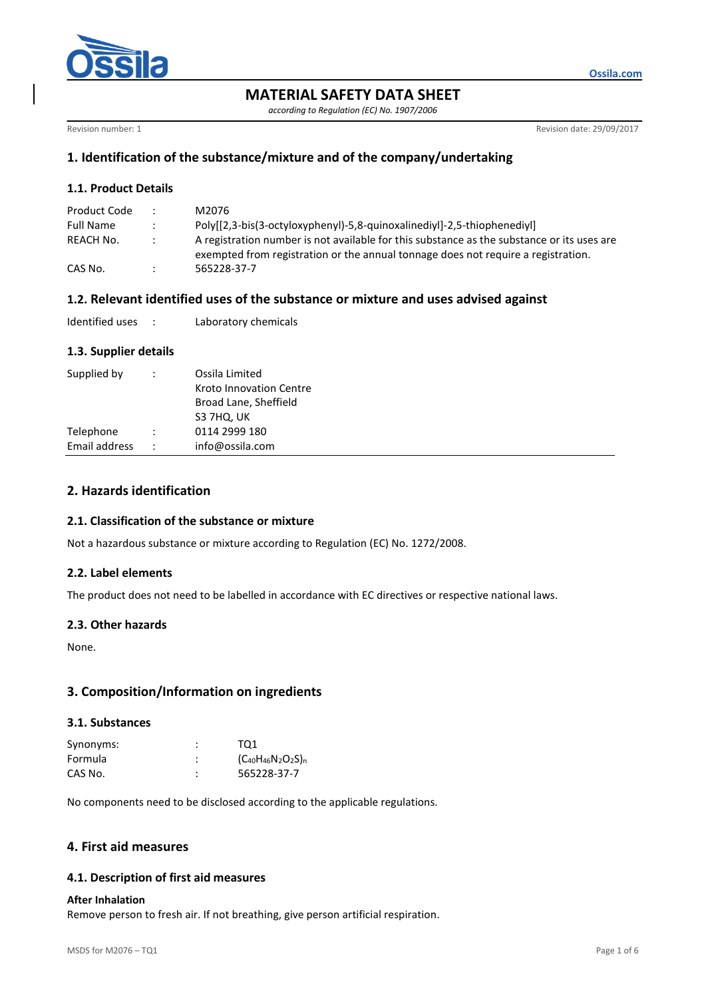

# **MATERIAL SAFETY DATA SHEET**

*according to Regulation (EC) No. 1907/2006*

Revision number: 1 Revision date: 29/09/2017

## **1. Identification of the substance/mixture and of the company/undertaking**

## **1.1. Product Details**

| Product Code     | $\mathcal{L}$ | M2076                                                                                                                                                                           |
|------------------|---------------|---------------------------------------------------------------------------------------------------------------------------------------------------------------------------------|
| <b>Full Name</b> |               | Poly[[2,3-bis(3-octyloxyphenyl)-5,8-quinoxalinediyl]-2,5-thiophenediyl]                                                                                                         |
| REACH No.        |               | A registration number is not available for this substance as the substance or its uses are<br>exempted from registration or the annual tonnage does not require a registration. |
| CAS No.          |               | 565228-37-7                                                                                                                                                                     |

### **1.2. Relevant identified uses of the substance or mixture and uses advised against**

## **1.3. Supplier details**

| Supplied by   | Ossila Limited<br>Kroto Innovation Centre<br>Broad Lane, Sheffield<br>S3 7HQ, UK |
|---------------|----------------------------------------------------------------------------------|
| Telephone     | 0114 2999 180                                                                    |
| Email address | info@ossila.com                                                                  |

# **2. Hazards identification**

### **2.1. Classification of the substance or mixture**

Not a hazardous substance or mixture according to Regulation (EC) No. 1272/2008.

### **2.2. Label elements**

The product does not need to be labelled in accordance with EC directives or respective national laws.

#### **2.3. Other hazards**

None.

### **3. Composition/Information on ingredients**

#### **3.1. Substances**

| Synonyms: | TO1                       |
|-----------|---------------------------|
| Formula   | $(C_{40}H_{46}N_2O_2S)_n$ |
| CAS No.   | 565228-37-7               |

No components need to be disclosed according to the applicable regulations.

### **4. First aid measures**

### **4.1. Description of first aid measures**

#### **After Inhalation**

Remove person to fresh air. If not breathing, give person artificial respiration.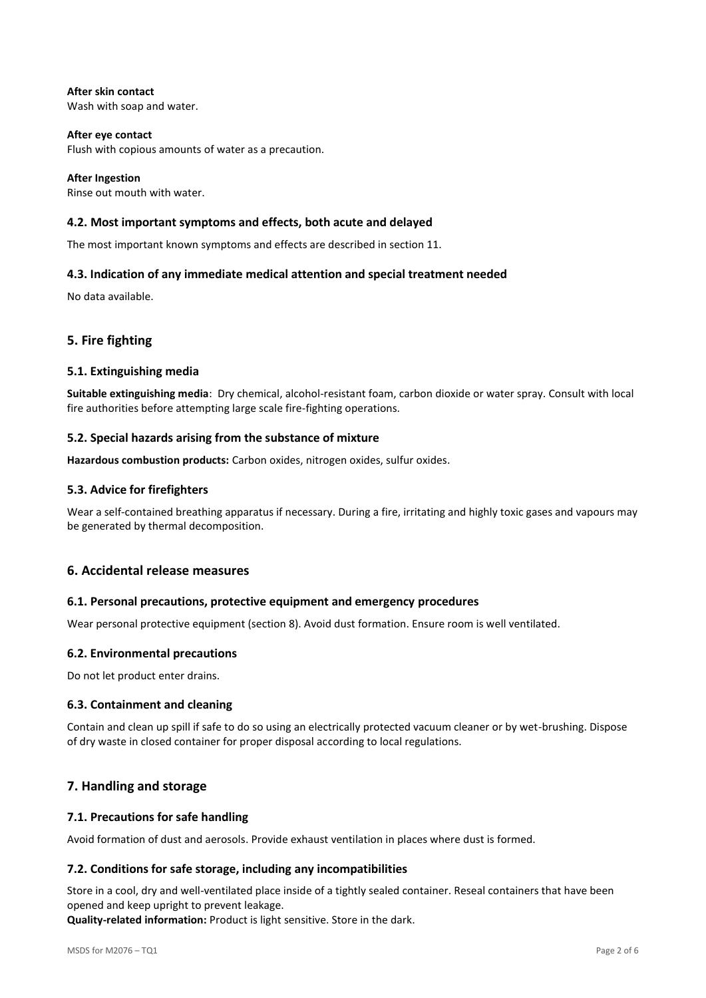#### **After skin contact** Wash with soap and water.

**After eye contact** Flush with copious amounts of water as a precaution.

**After Ingestion** Rinse out mouth with water.

# **4.2. Most important symptoms and effects, both acute and delayed**

The most important known symptoms and effects are described in section 11.

## **4.3. Indication of any immediate medical attention and special treatment needed**

No data available.

# **5. Fire fighting**

### **5.1. Extinguishing media**

**Suitable extinguishing media**: Dry chemical, alcohol-resistant foam, carbon dioxide or water spray. Consult with local fire authorities before attempting large scale fire-fighting operations.

### **5.2. Special hazards arising from the substance of mixture**

**Hazardous combustion products:** Carbon oxides, nitrogen oxides, sulfur oxides.

### **5.3. Advice for firefighters**

Wear a self-contained breathing apparatus if necessary. During a fire, irritating and highly toxic gases and vapours may be generated by thermal decomposition.

## **6. Accidental release measures**

### **6.1. Personal precautions, protective equipment and emergency procedures**

Wear personal protective equipment (section 8). Avoid dust formation. Ensure room is well ventilated.

### **6.2. Environmental precautions**

Do not let product enter drains.

### **6.3. Containment and cleaning**

Contain and clean up spill if safe to do so using an electrically protected vacuum cleaner or by wet-brushing. Dispose of dry waste in closed container for proper disposal according to local regulations.

# **7. Handling and storage**

### **7.1. Precautions for safe handling**

Avoid formation of dust and aerosols. Provide exhaust ventilation in places where dust is formed.

### **7.2. Conditions for safe storage, including any incompatibilities**

Store in a cool, dry and well-ventilated place inside of a tightly sealed container. Reseal containers that have been opened and keep upright to prevent leakage.

**Quality-related information:** Product is light sensitive. Store in the dark.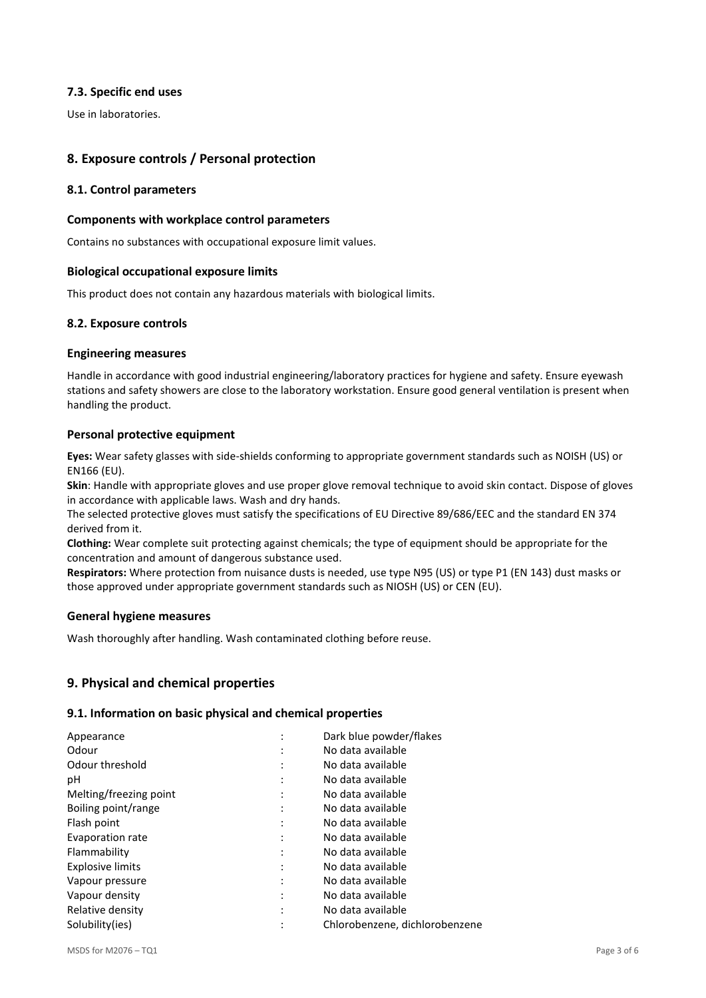## **7.3. Specific end uses**

Use in laboratories.

# **8. Exposure controls / Personal protection**

### **8.1. Control parameters**

### **Components with workplace control parameters**

Contains no substances with occupational exposure limit values.

## **Biological occupational exposure limits**

This product does not contain any hazardous materials with biological limits.

### **8.2. Exposure controls**

### **Engineering measures**

Handle in accordance with good industrial engineering/laboratory practices for hygiene and safety. Ensure eyewash stations and safety showers are close to the laboratory workstation. Ensure good general ventilation is present when handling the product.

### **Personal protective equipment**

**Eyes:** Wear safety glasses with side-shields conforming to appropriate government standards such as NOISH (US) or EN166 (EU).

**Skin**: Handle with appropriate gloves and use proper glove removal technique to avoid skin contact. Dispose of gloves in accordance with applicable laws. Wash and dry hands.

The selected protective gloves must satisfy the specifications of EU Directive 89/686/EEC and the standard EN 374 derived from it.

**Clothing:** Wear complete suit protecting against chemicals; the type of equipment should be appropriate for the concentration and amount of dangerous substance used.

**Respirators:** Where protection from nuisance dusts is needed, use type N95 (US) or type P1 (EN 143) dust masks or those approved under appropriate government standards such as NIOSH (US) or CEN (EU).

### **General hygiene measures**

Wash thoroughly after handling. Wash contaminated clothing before reuse.

## **9. Physical and chemical properties**

### **9.1. Information on basic physical and chemical properties**

| Appearance              | $\cdot$              | Dark blue powder/flakes        |
|-------------------------|----------------------|--------------------------------|
| Odour                   |                      | No data available              |
| Odour threshold         |                      | No data available              |
| рH                      |                      | No data available              |
| Melting/freezing point  |                      | No data available              |
| Boiling point/range     | $\ddot{\phantom{a}}$ | No data available              |
| Flash point             |                      | No data available              |
| Evaporation rate        |                      | No data available              |
| Flammability            | ٠                    | No data available              |
| <b>Explosive limits</b> |                      | No data available              |
| Vapour pressure         |                      | No data available              |
| Vapour density          | ٠                    | No data available              |
| Relative density        |                      | No data available              |
| Solubility(ies)         |                      | Chlorobenzene, dichlorobenzene |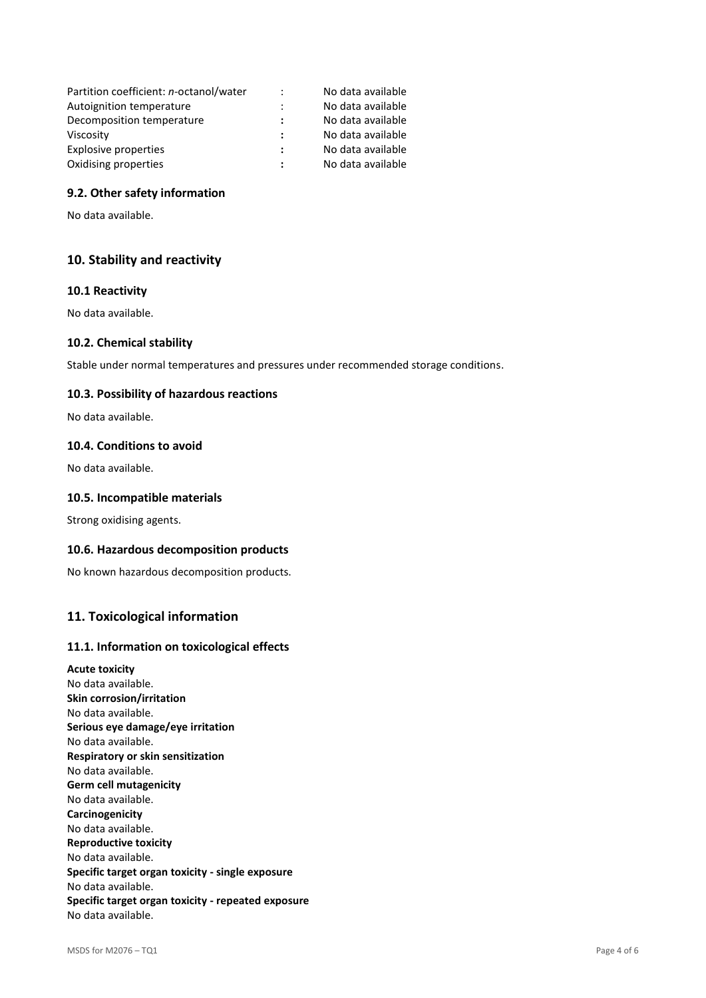| Partition coefficient: n-octanol/water | $\ddot{\cdot}$ | No data available |
|----------------------------------------|----------------|-------------------|
| Autoignition temperature               |                | No data available |
| Decomposition temperature              |                | No data available |
| Viscosity                              |                | No data available |
| Explosive properties                   | ÷              | No data available |
| Oxidising properties                   |                | No data available |

### **9.2. Other safety information**

No data available.

## **10. Stability and reactivity**

### **10.1 Reactivity**

No data available.

#### **10.2. Chemical stability**

Stable under normal temperatures and pressures under recommended storage conditions.

#### **10.3. Possibility of hazardous reactions**

No data available.

### **10.4. Conditions to avoid**

No data available.

#### **10.5. Incompatible materials**

Strong oxidising agents.

#### **10.6. Hazardous decomposition products**

No known hazardous decomposition products.

### **11. Toxicological information**

#### **11.1. Information on toxicological effects**

**Acute toxicity** No data available. **Skin corrosion/irritation** No data available. **Serious eye damage/eye irritation** No data available. **Respiratory or skin sensitization** No data available. **Germ cell mutagenicity** No data available. **Carcinogenicity** No data available. **Reproductive toxicity** No data available. **Specific target organ toxicity - single exposure** No data available. **Specific target organ toxicity - repeated exposure** No data available.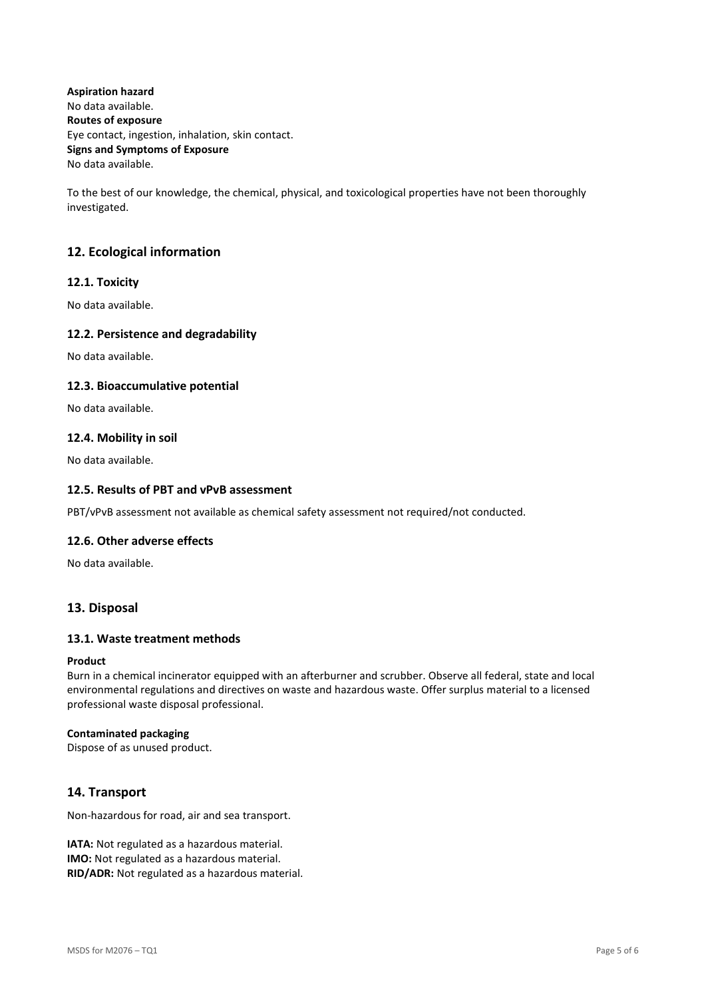**Aspiration hazard** No data available. **Routes of exposure** Eye contact, ingestion, inhalation, skin contact. **Signs and Symptoms of Exposure** No data available.

To the best of our knowledge, the chemical, physical, and toxicological properties have not been thoroughly investigated.

# **12. Ecological information**

### **12.1. Toxicity**

No data available.

### **12.2. Persistence and degradability**

No data available.

### **12.3. Bioaccumulative potential**

No data available.

### **12.4. Mobility in soil**

No data available.

### **12.5. Results of PBT and vPvB assessment**

PBT/vPvB assessment not available as chemical safety assessment not required/not conducted.

### **12.6. Other adverse effects**

No data available.

# **13. Disposal**

### **13.1. Waste treatment methods**

#### **Product**

Burn in a chemical incinerator equipped with an afterburner and scrubber. Observe all federal, state and local environmental regulations and directives on waste and hazardous waste. Offer surplus material to a licensed professional waste disposal professional.

#### **Contaminated packaging**

Dispose of as unused product.

## **14. Transport**

Non-hazardous for road, air and sea transport.

**IATA:** Not regulated as a hazardous material. **IMO:** Not regulated as a hazardous material. **RID/ADR:** Not regulated as a hazardous material.